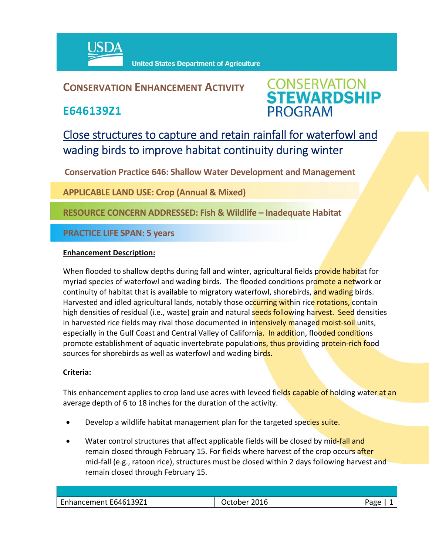

## **CONSERVATION ENHANCEMENT ACTIVITY**

**E646139Z1**



# Close structures to capture and retain rainfall for waterfowl and wading birds to improve habitat continuity during winter

**Conservation Practice 646: Shallow Water Development and Management**

**APPLICABLE LAND USE: Crop (Annual & Mixed)**

**RESOURCE CONCERN ADDRESSED: Fish & Wildlife – Inadequate Habitat**

**PRACTICE LIFE SPAN: 5 years**

### **Enhancement Description:**

When flooded to shallow depths during fall and winter, agricultural fields provide habitat for myriad species of waterfowl and wading birds. The flooded conditions promote a network or continuity of habitat that is available to migratory waterfowl, shorebirds, and wading birds. Harvested and idled agricultural lands, notably those occurring within rice rotations, contain high densities of residual (i.e., waste) grain and natural seeds following harvest. Seed densities in harvested rice fields may rival those documented in intensively managed moist-soil units, especially in the Gulf Coast and Central Valley of California. In addition, flooded conditions promote establishment of aquatic invertebrate populations, thus providing protein-rich food sources for shorebirds as well as waterfowl and wading birds.

### **Criteria:**

This enhancement applies to crop land use acres with leveed fields capable of holding water at an average depth of 6 to 18 inches for the duration of the activity.

- **•** Develop a wildlife habitat management plan for the targeted species suite.
- Water control structures that affect applicable fields will be closed by mid-fall and remain closed through February 15. For fields where harvest of the crop occurs after mid-fall (e.g., ratoon rice), structures must be closed within 2 days following harvest and remain closed through February 15.

| Enhancement E646139Z1 | 2016<br>Jctober | - המר |
|-----------------------|-----------------|-------|
|                       |                 |       |